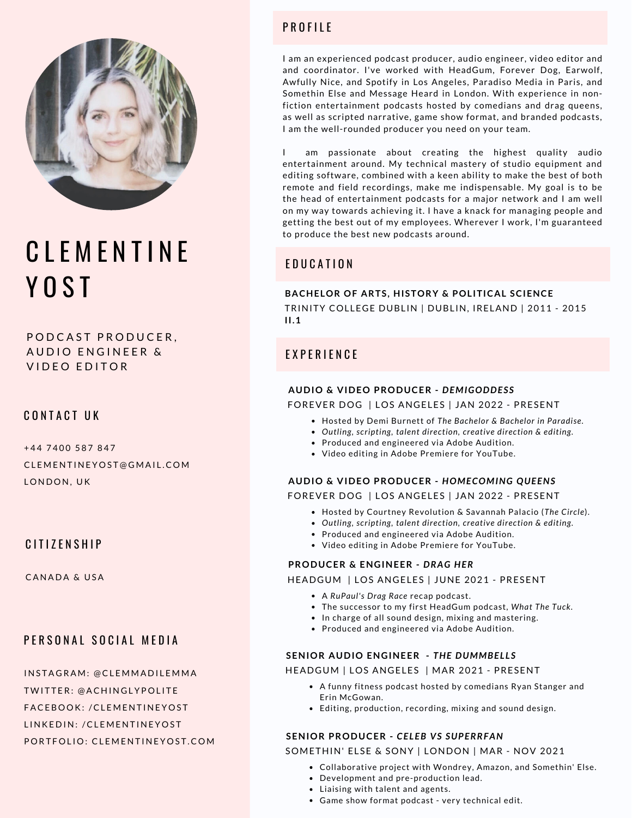

# **CLEMENTINE** Y O S T

POD CAST PRODUCER, AUDIO ENGINEER & VIDEO EDITOR

## CONTACT UK

+44 7400 587 847 CL E M E N T I N E Y O S T @ G M AI L .C O M LONDON, UK

### CITIZENSHIP

CANADA & USA

## PERSONAL SOCIAL MEDIA

INSTAGRAM: @CLEMMADILEMMA TWITTER: @ACHINGLYPOLITE [FACE](https://www.twitter.com/clementineyost/)BOOK: /CLEMENTINEYOST LINKEDIN: /CLEMENTINEYOST PORTFOLIO: CLEMENTINEYOST.COM

# PROFILE

I am an experienced podcast producer, audio engineer, video editor and and coordinator. I've worked with HeadGum, Forever Dog, Earwolf, Awfully Nice, and Spotify in Los Angeles, Paradiso Media in Paris, and Somethin Else and Message Heard in London. With experience in nonfiction entertainment podcasts hosted by comedians and drag queens, as well as scripted narrative, game show format, and branded podcasts, I am the well-rounded producer you need on your team.

I am passionate about creating the highest quality audio entertainment around. My technical mastery of studio equipment and editing software, combined with a keen ability to make the best of both remote and field recordings, make me indispensable. My goal is to be the head of entertainment podcasts for a major network and I am well on my way towards achieving it. I have a knack for managing people and getting the best out of my employees. Wherever I work, I'm guaranteed to produce the best new podcasts around.

# E D U C A T I O N

# **BACHELOR OF ARTS, HISTORY & POLITICAL SCIENCE**

TRINITY COLLEGE DUBLIN | DUBLIN, IRELAND | 2011 - 2015 **II.1**

## E X P E R I E N C E

#### **AUDIO & VIDEO PRODUCER -** *DEMIGODDESS*

FOREVER DOG | LOS ANGELES | JAN 2022 - PRESENT

- Hosted by Demi Burnett of *The Bachelor & Bachelor in Paradise.*
- *Outling, scripting, talent direction, creative direction & editing.*
- Produced and engineered via Adobe Audition.
- Video editing in Adobe Premiere for YouTube.
- **AUDIO & VIDEO PRODUCER -** *HOMECOMING QUEENS*

FOREVER DOG | LOS ANGELES | JAN 2022 - PRESENT

- Hosted by Courtney Revolution & Savannah Palacio (*The Circle*).
- *Outling, scripting, talent direction, creative direction & editing.*
- Produced and engineered via Adobe Audition.
- Video editing in Adobe Premiere for YouTube.

#### **PRODUCER & ENGINEER -** *DRAG HER*

HEADGUM | LOS ANGELES | JUNE 2021 - PRESENT

- A *RuPaul's Drag Race* recap podcast.
- The successor to my first HeadGum podcast, *What The Tuck.*
- In charge of all sound design, mixing and mastering.
- Produced and engineered via Adobe Audition.

#### **SENIOR AUDIO ENGINEER -** *THE DUMMBEL LS*

HEADGUM | LOS ANGELES | MAR 2021 - PRESENT

- A funny fitness podcast hosted by comedians Ryan Stanger and Erin McGowan.
- Editing, production, recording, mixing and sound design.

### **SENIOR PRODUCER -** *CELEB VS SUPERRFAN*

SOMETHIN' ELSE & SONY | LONDON | MAR - NOV 2021

- Collaborative project with Wondrey, Amazon, and Somethin' Else.
- Development and pre-production lead.
- Liaising with talent and agents.
- Game show format podcast very technical edit.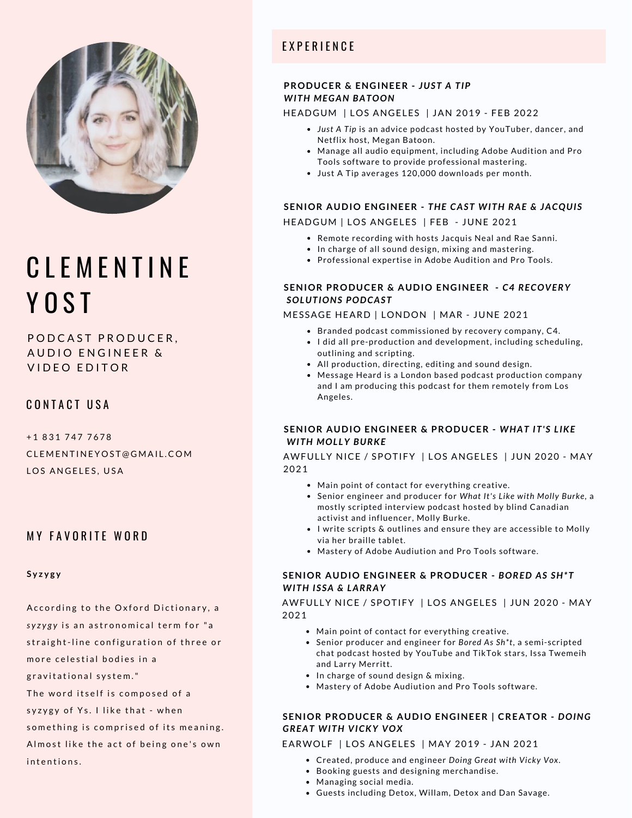

# C I F M F N T I N F YOST

POD CAST PRODUCER, AUDIO ENGINEER & VIDEO EDITOR

CONTACT USA

+ 1 8 3 1 7 4 7 7 6 7 8 CLEMENTINEYOST@GMAIL.COM LOS ANGELES, USA

## **MY FAVORITE WORD**

#### **S y z y g y**

- According to the Oxford Dictionary, a *syzygy* is an astronomical term for "a straight-line configuration of three or more celestial bodies in a gravitational system." The word itself is composed of a
- syzygy of Ys. I like that when
- something is comprised of its meaning.
- Almost like the act of being one's own

intentions.

# E X P E R I E N C E

### **PRODUCER & ENGINEER -** *JUST A TIP WITH MEGAN BATOON*

#### HEADGUM | LOS ANGELES | JAN 2019 - FEB 2022

- *Just A Tip* is an advice podcast hosted by YouTuber, dancer, and Netflix host, Megan Batoon.
- Manage all audio equipment, including Adobe Audition and Pro Tools software to provide professional mastering.
- Just A Tip averages 120,000 downloads per month.

#### **SENIOR AUDIO ENGINEER -** *THE CAST WITH RAE & JACQUIS* HEADGUM | LOS ANGELES | FEB - JUNE 2021

- Remote recording with hosts Jacquis Neal and Rae Sanni.
- In charge of all sound design, mixing and mastering.
- Professional expertise in Adobe Audition and Pro Tools.

#### **SENIOR PRODUCER & AUDIO ENGINEER -** *C4 RECOVERY SOLUTIONS PODCAST*

#### MESSAGE HEARD | LONDON | MAR - JUNE 2021

- Branded podcast commissioned by recovery company, C4.
- I did all pre-production and development, including scheduling, outlining and scripting.
- All production, directing, editing and sound design.
- Message Heard is a London based podcast production company and I am producing this podcast for them remotely from Los Angeles.

#### **SENIOR AUDIO ENGINEER & PRODUCER -** *WHAT IT'S L IKE* **WITH MOLLY BURKE**

AWFULLY NICE / SPOTIFY | LOS ANGELES | JUN 2020 - MAY 2021

- Main point of contact for everything creative.
- Senior engineer and producer for *What It's Like with Molly Burke,* a mostly scripted interview podcast hosted by blind Canadian activist and influencer, Molly Burke.
- $\bullet$  I write scripts & outlines and ensure they are accessible to Molly via her braille tablet.
- Mastery of Adobe Audiution and Pro Tools software.

#### **SENIOR AUDIO ENGINEER & PRODUCER -** *BORED AS SH\*T WITH ISSA & LARRAY*

AWFULLY NICE / SPOTIFY | LOS ANGELES | JUN 2020 - MAY 2021

- Main point of contact for everything creative.
- Senior producer and engineer for *Bored As Sh\*t*, a semi-scripted chat podcast hosted by YouTube and TikTok stars, Issa Twemeih and Larry Merritt.
- In charge of sound design & mixing.
- Mastery of Adobe Audiution and Pro Tools software.

#### **SENIOR PRODUCER & AUDIO ENGINEER | CREATOR -** *DOING GREAT WITH VICKY VOX*

#### EARWOLF | LOS ANGELES | MAY 2019 - JAN 2021

- Created, produce and engineer *Doing Great with Vicky Vox*.
- Booking guests and designing merchandise.
- Managing social media.
- Guests including Detox, Willam, Detox and Dan Savage.